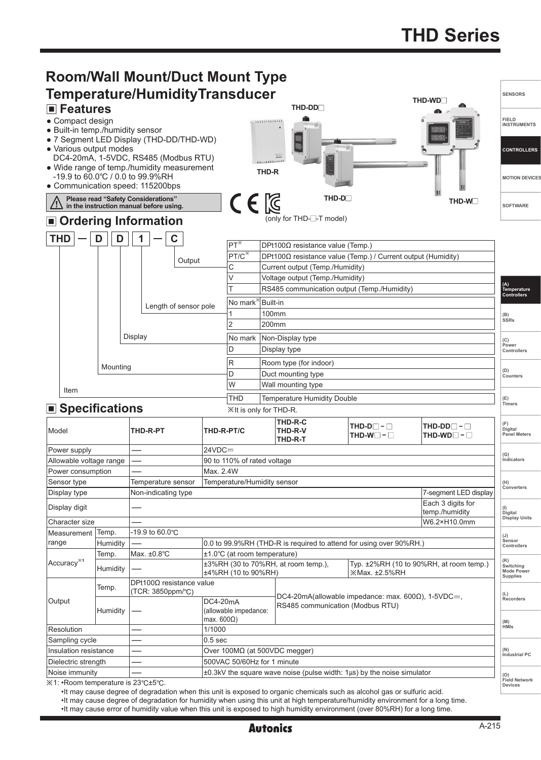

•It may cause degree of degradation when this unit is exposed to organic chemicals such as alcohol gas or sulfuric acid.

•It may cause degree of degradation for humidity when using this unit at high temperature/humidity environment for a long time.

•It may cause error of humidity value when this unit is exposed to high humidity environment (over 80%RH) for a long time.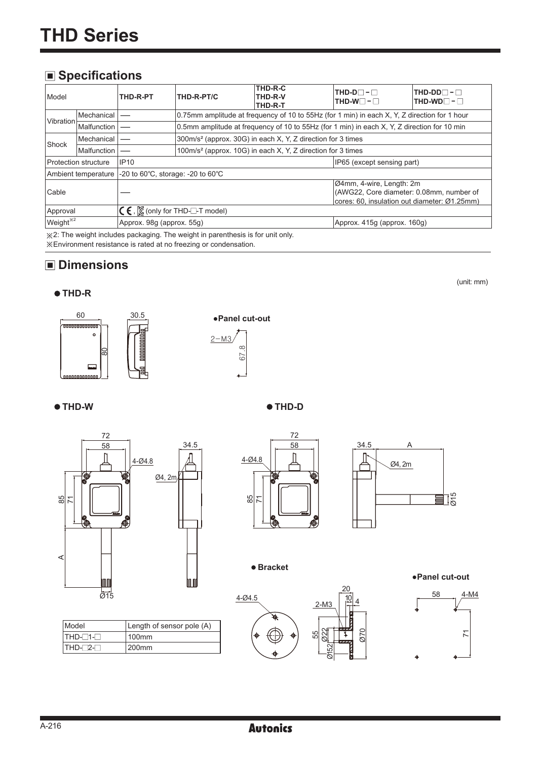#### **Specifications**

| Model                                      | THD-R-PT                                                                              |                                                                                             | THD-R-PT/C                                                              | THD-R-C<br>THD-R-V<br>THD-R-T                                                                | $THD-D$ - $\Box$<br>$THD-W \Box - \Box$                                                                              | $THD-DD$ - $\Box$<br>$THD-WD$ - |  |
|--------------------------------------------|---------------------------------------------------------------------------------------|---------------------------------------------------------------------------------------------|-------------------------------------------------------------------------|----------------------------------------------------------------------------------------------|----------------------------------------------------------------------------------------------------------------------|---------------------------------|--|
| <b>Vibration</b>                           | Mechanical                                                                            |                                                                                             |                                                                         | 0.75mm amplitude at frequency of 10 to 55Hz (for 1 min) in each X, Y, Z direction for 1 hour |                                                                                                                      |                                 |  |
|                                            | Malfunction                                                                           | 0.5mm amplitude at frequency of 10 to 55Hz (for 1 min) in each X, Y, Z direction for 10 min |                                                                         |                                                                                              |                                                                                                                      |                                 |  |
|                                            | 300m/s <sup>2</sup> (approx. 30G) in each X, Y, Z direction for 3 times<br>Mechanical |                                                                                             |                                                                         |                                                                                              |                                                                                                                      |                                 |  |
| Shock<br>Malfunction                       |                                                                                       |                                                                                             | 100m/s <sup>2</sup> (approx. 10G) in each X, Y, Z direction for 3 times |                                                                                              |                                                                                                                      |                                 |  |
| <b>IP10</b><br><b>Protection structure</b> |                                                                                       |                                                                                             |                                                                         |                                                                                              | IP65 (except sensing part)                                                                                           |                                 |  |
|                                            | Ambient temperature                                                                   | -20 to 60 $\degree$ C, storage: -20 to 60 $\degree$ C                                       |                                                                         |                                                                                              |                                                                                                                      |                                 |  |
| Cable                                      |                                                                                       |                                                                                             |                                                                         |                                                                                              | Ø4mm, 4-wire, Length: 2m<br>(AWG22, Core diameter: 0.08mm, number of<br>cores: 60, insulation out diameter: Ø1.25mm) |                                 |  |
| Approval                                   |                                                                                       | $\mathsf{C}\mathsf{\in}$ , $\mathsf{K}\mathsf{C}$ (only for THD- $\Box$ -T model)           |                                                                         |                                                                                              |                                                                                                                      |                                 |  |
|                                            | Weight <sup>*2</sup><br>Approx. 98g (approx. 55g)                                     |                                                                                             |                                                                         |                                                                                              | Approx. 415g (approx. 160g)                                                                                          |                                 |  |
| $\cdots$ $\sim$ $\sim$                     |                                                                                       |                                                                                             |                                                                         |                                                                                              |                                                                                                                      |                                 |  |

※2: The weight includes packaging. The weight in parenthesis is for unit only. ※Environment resistance is rated at no freezing or condensation.

### **Dimensions**

(unit: mm)

#### **THD-R**





**THD-W THD-D**



|      |            |                | 72       |
|------|------------|----------------|----------|
| 34.5 |            |                | 58       |
|      | $4 - 04.8$ |                |          |
|      |            | 6              | ۰        |
|      | 85         | $\overline{1}$ |          |
|      |            |                | Q<br>Ω   |
|      |            |                | IO.<br>⊛ |



**Bracket**



Ø70

**●Panel cut-out**



Model **Length of sensor pole (A)**  $THD-T1-T$  100mm  $THD-T2-T$  200mm

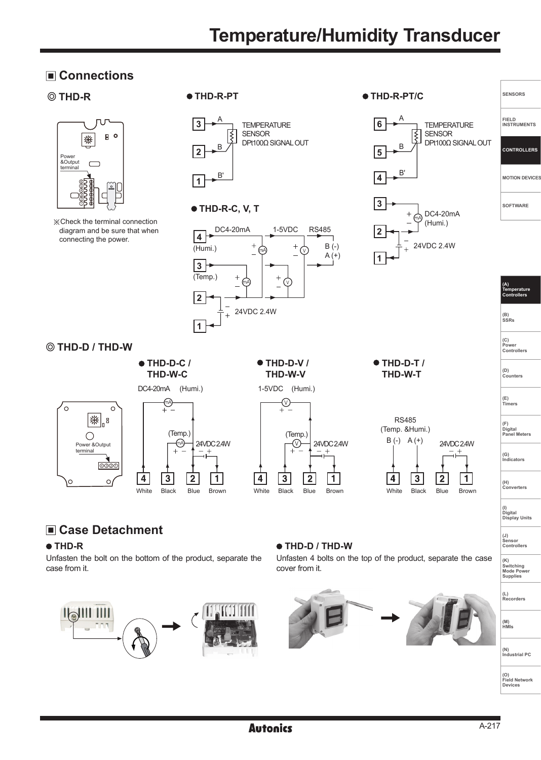## **Temperature/Humidity Transducer**

#### **Connections**



※Check the terminal connection diagram and be sure that when connecting the power.



#### **THD-D / THD-W**



**Case Detachment**

 **THD-R** 

case from it.



 $\overline{2}$ 

 $\mathbf{1}$ 

 $\overline{a}$ 

 $\mathbf{3}$ 

1-5VDC (Humi.)





# **(H) Converters**

**SENSORS**

**FIELD INSTRUMENTS**

**CONTROLLERS**

**MOTION DEVICES**

**SOFTWARE**

**(A) Temperature Controllers**

**(B) SSRs**

**(C) Power Controllers**

**(D) Counters**

**(E) Timers**

**(F) Digital Panel Meters** 

**(G) Indicators**

**(I) Digital Display Units**

**(J) Sensor Controllers** 

**(K) Switching Mode Power Supplies** 

**Recorders**

**(N) Industrial PC**

**(M) HMIs**



Unfasten the bolt on the bottom of the product, separate the

#### **THD-D / THD-W**

Unfasten 4 bolts on the top of the product, separate the case cover from it.

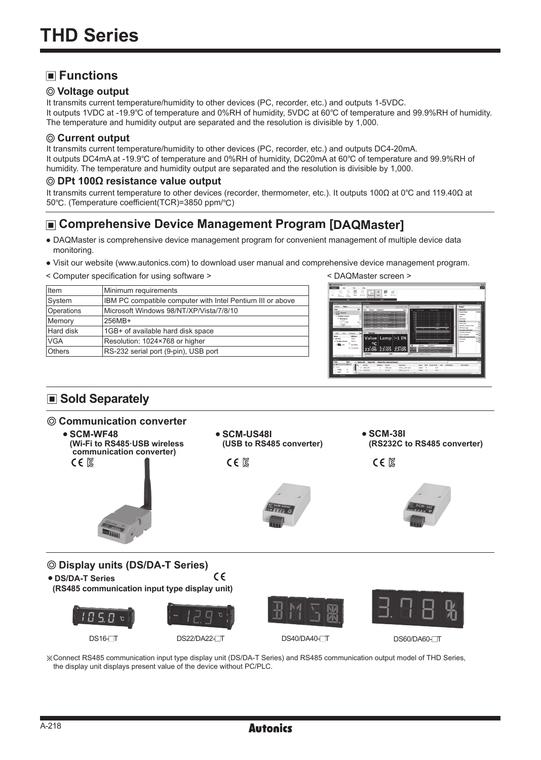#### **Functions**

#### **Voltage output**

It transmits current temperature/humidity to other devices (PC, recorder, etc.) and outputs 1-5VDC. It outputs 1VDC at -19.9℃ of temperature and 0%RH of humidity, 5VDC at 60℃ of temperature and 99.9%RH of humidity. The temperature and humidity output are separated and the resolution is divisible by 1,000.

#### **Current output**

It transmits current temperature/humidity to other devices (PC, recorder, etc.) and outputs DC4-20mA. It outputs DC4mA at -19.9℃ of temperature and 0%RH of humidity, DC20mA at 60℃ of temperature and 99.9%RH of humidity. The temperature and humidity output are separated and the resolution is divisible by 1,000.

#### **DPt 100Ω resistance value output**

It transmits current temperature to other devices (recorder, thermometer, etc.). It outputs 100Ω at 0℃ and 119.40Ω at 50℃. (Temperature coefficient(TCR)=3850 ppm/℃)

#### **Comprehensive Device Management Program [DAQMaster]**

- DAQMaster is comprehensive device management program for convenient management of multiple device data monitoring.
- Visit our website (www.autonics.com) to download user manual and comprehensive device management program.
- < Computer specification for using software > < DAQMaster screen >

| <b>I</b> tem  | Minimum requirements                                       |
|---------------|------------------------------------------------------------|
| System        | IBM PC compatible computer with Intel Pentium III or above |
| Operations    | Microsoft Windows 98/NT/XP/Vista/7/8/10                    |
| Memory        | 256MB+                                                     |
| Hard disk     | 1GB+ of available hard disk space                          |
| <b>VGA</b>    | Resolution: 1024×768 or higher                             |
| <b>Others</b> | RS-232 serial port (9-pin), USB port                       |
|               |                                                            |



#### ■ Sold Separately

#### **Communication converter**



DS16- T DS22/DA22- T DS40/DA40- T DS60/DA60- T

※Connect RS485 communication input type display unit (DS/DA-T Series) and RS485 communication output model of THD Series, the display unit displays present value of the device without PC/PLC.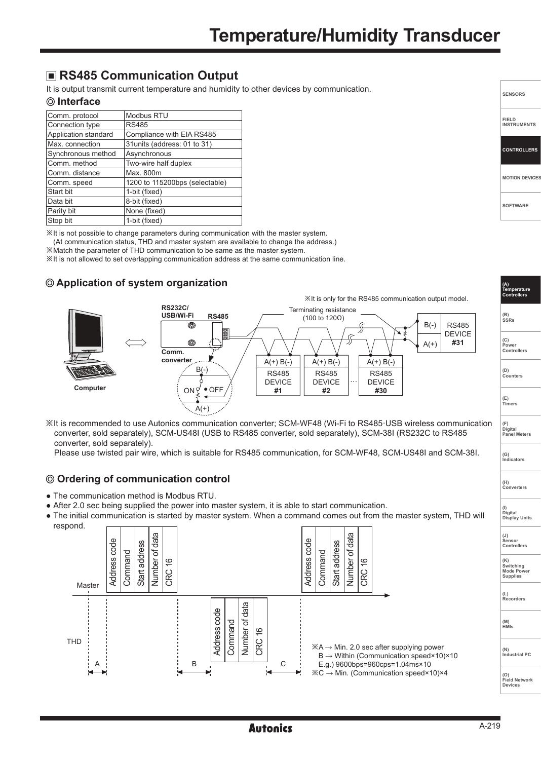#### **RS485 Communication Output**

It is output transmit current temperature and humidity to other devices by communication.

#### **Interface**

| Comm. protocol       | Modbus RTU                     |
|----------------------|--------------------------------|
| Connection type      | <b>RS485</b>                   |
| Application standard | Compliance with EIA RS485      |
| Max. connection      | 31 units (address: 01 to 31)   |
| Synchronous method   | Asynchronous                   |
| Comm. method         | Two-wire half duplex           |
| Comm. distance       | Max. 800m                      |
| Comm. speed          | 1200 to 115200bps (selectable) |
| Start bit            | 1-bit (fixed)                  |
| Data bit             | 8-bit (fixed)                  |
| Parity bit           | None (fixed)                   |
| Stop bit             | 1-bit (fixed)                  |

※It is not possible to change parameters during communication with the master system.

(At communication status, THD and master system are available to change the address.)

※Match the parameter of THD communication to be same as the master system.

※It is not allowed to set overlapping communication address at the same communication line.

#### **Application of system organization**



※It is recommended to use Autonics communication converter; SCM-WF48 (Wi-Fi to RS485·USB wireless communication converter, sold separately), SCM-US48I (USB to RS485 converter, sold separately), SCM-38I (RS232C to RS485 converter, sold separately).

Please use twisted pair wire, which is suitable for RS485 communication, for SCM-WF48, SCM-US48I and SCM-38I.

#### **Ordering of communication control**

- The communication method is Modbus RTU.
- After 2.0 sec being supplied the power into master system, it is able to start communication.
- **(I) Digital Display Units** ● The initial communication is started by master system. When a command comes out from the master system, THD will



**SENSORS**

**SOFTWARE**

**(A) Temperature Controllers**

**(B) SSRs (C) Power Controllers**

**(D) Counters**

**(E) Timers**

**(G) Indicators**

**(F) Digital Panel Meters** 

**(H) Converters**

**MOTION DEVICES**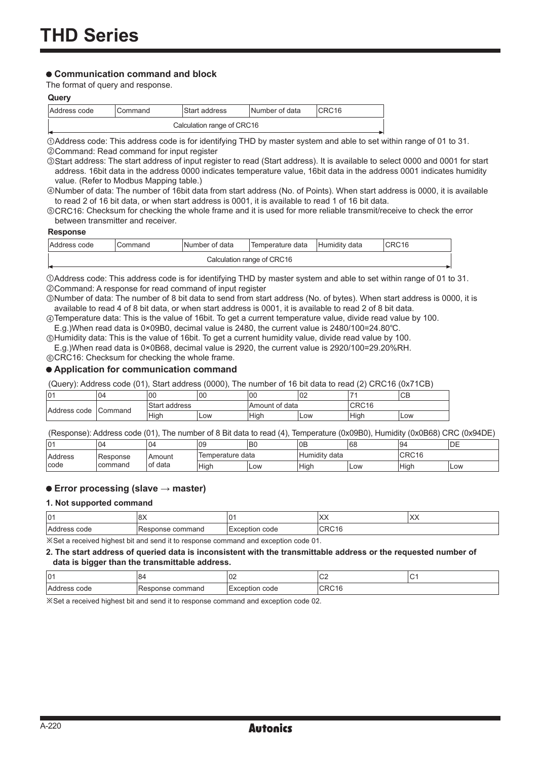#### **Communication command and block**

The format of query and response.

#### **Query**

| Address code | Command                    | lStart address | Number of data | ICRC16 |  |  |  |
|--------------|----------------------------|----------------|----------------|--------|--|--|--|
|              | Calculation range of CRC16 |                |                |        |  |  |  |

①Address code: This address code is for identifying THD by master system and able to set within range of 01 to 31. ②Command: Read command for input register

③Start address: The start address of input register to read (Start address). It is available to select 0000 and 0001 for start address. 16bit data in the address 0000 indicates temperature value, 16bit data in the address 0001 indicates humidity value. (Refer to Modbus Mapping table.)

④Number of data: The number of 16bit data from start address (No. of Points). When start address is 0000, it is available to read 2 of 16 bit data, or when start address is 0001, it is available to read 1 of 16 bit data.

⑤CRC16: Checksum for checking the whole frame and it is used for more reliable transmit/receive to check the error between transmitter and receiver.

#### **Response**

| IAddress code | ommandٽ                    | Number of data | Temperature data | data<br>l Humiditv | CRC16 |  |  |
|---------------|----------------------------|----------------|------------------|--------------------|-------|--|--|
| . .           | Calculation range of CRC16 |                |                  |                    |       |  |  |

①Address code: This address code is for identifying THD by master system and able to set within range of 01 to 31. ②Command: A response for read command of input register

③Number of data: The number of 8 bit data to send from start address (No. of bytes). When start address is 0000, it is available to read 4 of 8 bit data, or when start address is 0001, it is available to read 2 of 8 bit data.

④Temperature data: This is the value of 16bit. To get a current temperature value, divide read value by 100. E.g.)When read data is 0×09B0, decimal value is 2480, the current value is 2480/100=24.80℃.

⑤Humidity data: This is the value of 16bit. To get a current humidity value, divide read value by 100. E.g.)When read data is 0×0B68, decimal value is 2920, the current value is 2920/100=29.20%RH.

⑥CRC16: Checksum for checking the whole frame.

#### **Application for communication command**

(Query): Address code (01), Start address (0000), The number of 16 bit data to read (2) CRC16 (0x71CB)

| 101          | 04             | 00               | 100 | 00                       | 02  | -                         | $\cap$<br>◡◻ |
|--------------|----------------|------------------|-----|--------------------------|-----|---------------------------|--------------|
| Address code | <b>Command</b> | Start<br>address |     | of data<br><b>Amount</b> |     | CDC1C<br>טו טר <i>ו</i> ט |              |
|              |                | <b>High</b>      | Low | Hiah                     | Low | <b>High</b>               | Low          |

(Response): Address code (01), The number of 8 Bit data to read (4), Temperature (0x09B0), Humidity (0x0B68) CRC (0x94DE)

| 101            | 04         | 04            | 109              | B0  | 0 <sub>E</sub>     | 68  | 94    | DE   |
|----------------|------------|---------------|------------------|-----|--------------------|-----|-------|------|
| <b>Address</b> | l Response | <b>Amount</b> | Temperature data |     | .<br>Humidity data |     | CRC16 |      |
| Icode          | command    | of data       | High             | Low | Hiah               | Low | High  | .Low |

#### **Error processing (slave → master)**

#### **1. Not supported command**

| 101                                             | $\sim$<br>∣∪∧    | $\sim$<br>u       | $\lambda$<br>⌒⌒ | IXX |  |
|-------------------------------------------------|------------------|-------------------|-----------------|-----|--|
| <b>Address</b><br>; code                        | Response command | code<br>Exception | CDC1C<br>URU 10 |     |  |
| $\cdots$<br>. .<br>.<br>.<br>.<br>$\sim$ $\sim$ |                  |                   |                 |     |  |

※Set a received highest bit and send it to response command and exception code 01.

#### **2. The start address of queried data is inconsistent with the transmittable address or the requested number of data is bigger than the transmittable address.**

| 01            | O۴              | $\sim$<br>∣∪∠                          | $\sim$<br>◡∠        |  |
|---------------|-----------------|----------------------------------------|---------------------|--|
| 'Aau.<br>code | command<br>onse | $\sim$ $\sim$ $\sim$<br>⊢<br>coue<br>- | $\sim$ r<br>״<br>н. |  |

※Set a received highest bit and send it to response command and exception code 02.